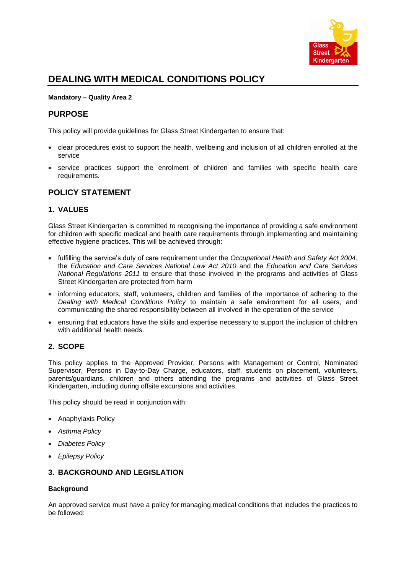

# **DEALING WITH MEDICAL CONDITIONS POLICY**

#### **Mandatory – Quality Area 2**

### **PURPOSE**

This policy will provide guidelines for Glass Street Kindergarten to ensure that:

- clear procedures exist to support the health, wellbeing and inclusion of all children enrolled at the service
- service practices support the enrolment of children and families with specific health care requirements.

### **POLICY STATEMENT**

#### **1. VALUES**

Glass Street Kindergarten is committed to recognising the importance of providing a safe environment for children with specific medical and health care requirements through implementing and maintaining effective hygiene practices. This will be achieved through:

- fulfilling the service's duty of care requirement under the *Occupational Health and Safety Act 2004*, the *Education and Care Services National Law Act 2010* and the *Education and Care Services National Regulations 2011* to ensure that those involved in the programs and activities of Glass Street Kindergarten are protected from harm
- informing educators, staff, volunteers, children and families of the importance of adhering to the *Dealing with Medical Conditions Policy* to maintain a safe environment for all users, and communicating the shared responsibility between all involved in the operation of the service
- ensuring that educators have the skills and expertise necessary to support the inclusion of children with additional health needs.

### **2. SCOPE**

This policy applies to the Approved Provider, Persons with Management or Control, Nominated Supervisor, Persons in Day-to-Day Charge, educators, staff, students on placement, volunteers, parents/guardians, children and others attending the programs and activities of Glass Street Kindergarten, including during offsite excursions and activities.

This policy should be read in conjunction with:

- Anaphylaxis Policy
- *Asthma Policy*
- *Diabetes Policy*
- *Epilepsy Policy*

#### **3. BACKGROUND AND LEGISLATION**

#### **Background**

An approved service must have a policy for managing medical conditions that includes the practices to be followed: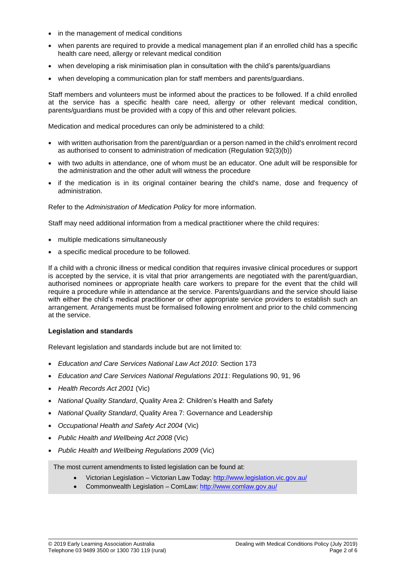- in the management of medical conditions
- when parents are required to provide a medical management plan if an enrolled child has a specific health care need, allergy or relevant medical condition
- when developing a risk minimisation plan in consultation with the child's parents/guardians
- when developing a communication plan for staff members and parents/guardians.

Staff members and volunteers must be informed about the practices to be followed. If a child enrolled at the service has a specific health care need, allergy or other relevant medical condition, parents/guardians must be provided with a copy of this and other relevant policies.

Medication and medical procedures can only be administered to a child:

- with written authorisation from the parent/guardian or a person named in the child's enrolment record as authorised to consent to administration of medication (Regulation 92(3)(b))
- with two adults in attendance, one of whom must be an educator. One adult will be responsible for the administration and the other adult will witness the procedure
- if the medication is in its original container bearing the child's name, dose and frequency of administration.

Refer to the *Administration of Medication Policy* for more information.

Staff may need additional information from a medical practitioner where the child requires:

- multiple medications simultaneously
- a specific medical procedure to be followed.

If a child with a chronic illness or medical condition that requires invasive clinical procedures or support is accepted by the service, it is vital that prior arrangements are negotiated with the parent/guardian, authorised nominees or appropriate health care workers to prepare for the event that the child will require a procedure while in attendance at the service. Parents/guardians and the service should liaise with either the child's medical practitioner or other appropriate service providers to establish such an arrangement. Arrangements must be formalised following enrolment and prior to the child commencing at the service.

#### **Legislation and standards**

Relevant legislation and standards include but are not limited to:

- *Education and Care Services National Law Act 2010*: Section 173
- *Education and Care Services National Regulations 2011*: Regulations 90, 91, 96
- *Health Records Act 2001* (Vic)
- *National Quality Standard*, Quality Area 2: Children's Health and Safety
- *National Quality Standard*, Quality Area 7: Governance and Leadership
- *Occupational Health and Safety Act 2004* (Vic)
- *Public Health and Wellbeing Act 2008* (Vic)
- *Public Health and Wellbeing Regulations 2009* (Vic)

The most current amendments to listed legislation can be found at:

- Victorian Legislation Victorian Law Today[: http://www.legislation.vic.gov.au/](http://www.legislation.vic.gov.au/)
- Commonwealth Legislation ComLaw:<http://www.comlaw.gov.au/>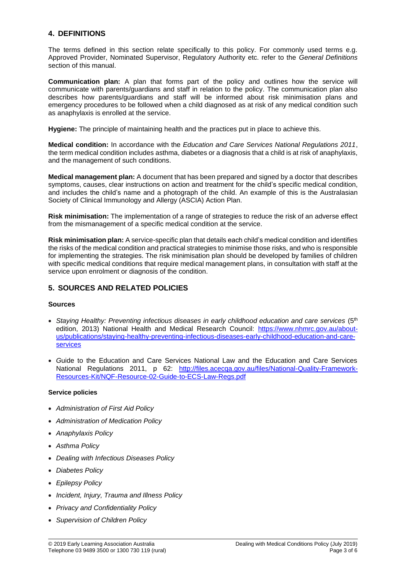### **4. DEFINITIONS**

The terms defined in this section relate specifically to this policy. For commonly used terms e.g. Approved Provider, Nominated Supervisor, Regulatory Authority etc. refer to the *General Definitions* section of this manual.

**Communication plan:** A plan that forms part of the policy and outlines how the service will communicate with parents/guardians and staff in relation to the policy. The communication plan also describes how parents/guardians and staff will be informed about risk minimisation plans and emergency procedures to be followed when a child diagnosed as at risk of any medical condition such as anaphylaxis is enrolled at the service.

**Hygiene:** The principle of maintaining health and the practices put in place to achieve this.

**Medical condition:** In accordance with the *Education and Care Services National Regulations 2011*, the term medical condition includes asthma, diabetes or a diagnosis that a child is at risk of anaphylaxis, and the management of such conditions.

**Medical management plan:** A document that has been prepared and signed by a doctor that describes symptoms, causes, clear instructions on action and treatment for the child's specific medical condition, and includes the child's name and a photograph of the child. An example of this is the Australasian Society of Clinical Immunology and Allergy (ASCIA) Action Plan.

**Risk minimisation:** The implementation of a range of strategies to reduce the risk of an adverse effect from the mismanagement of a specific medical condition at the service.

**Risk minimisation plan:** A service-specific plan that details each child's medical condition and identifies the risks of the medical condition and practical strategies to minimise those risks, and who is responsible for implementing the strategies. The risk minimisation plan should be developed by families of children with specific medical conditions that require medical management plans, in consultation with staff at the service upon enrolment or diagnosis of the condition.

### **5. SOURCES AND RELATED POLICIES**

#### **Sources**

- Staying Healthy: Preventing infectious diseases in early childhood education and care services (5<sup>th</sup> edition, 2013) National Health and Medical Research Council: [https://www.nhmrc.gov.au/about](https://www.nhmrc.gov.au/about-us/publications/staying-healthy-preventing-infectious-diseases-early-childhood-education-and-care-services)[us/publications/staying-healthy-preventing-infectious-diseases-early-childhood-education-and-care](https://www.nhmrc.gov.au/about-us/publications/staying-healthy-preventing-infectious-diseases-early-childhood-education-and-care-services)[services](https://www.nhmrc.gov.au/about-us/publications/staying-healthy-preventing-infectious-diseases-early-childhood-education-and-care-services)
- *G*uide to the Education and Care Services National Law and the Education and Care Services National Regulations 2011, p 62: [http://files.acecqa.gov.au/files/National-Quality-Framework-](http://files.acecqa.gov.au/files/National-Quality-Framework-Resources-Kit/NQF-Resource-02-Guide-to-ECS-Law-Regs.pdf)[Resources-Kit/NQF-Resource-02-Guide-to-ECS-Law-Regs.pdf](http://files.acecqa.gov.au/files/National-Quality-Framework-Resources-Kit/NQF-Resource-02-Guide-to-ECS-Law-Regs.pdf)

#### **Service policies**

- *Administration of First Aid Policy*
- *Administration of Medication Policy*
- *Anaphylaxis Policy*
- *Asthma Policy*
- *Dealing with Infectious Diseases Policy*
- *Diabetes Policy*
- *Epilepsy Policy*
- *Incident, Injury, Trauma and Illness Policy*
- *Privacy and Confidentiality Policy*
- *Supervision of Children Policy*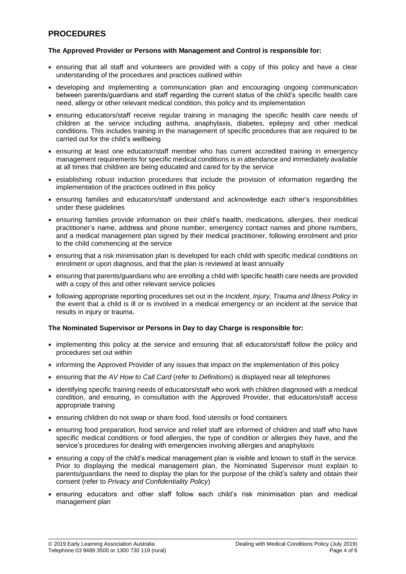### **PROCEDURES**

#### **The Approved Provider or Persons with Management and Control is responsible for:**

- ensuring that all staff and volunteers are provided with a copy of this policy and have a clear understanding of the procedures and practices outlined within
- developing and implementing a communication plan and encouraging ongoing communication between parents/guardians and staff regarding the current status of the child's specific health care need, allergy or other relevant medical condition, this policy and its implementation
- ensuring educators/staff receive regular training in managing the specific health care needs of children at the service including asthma, anaphylaxis, diabetes, epilepsy and other medical conditions. This includes training in the management of specific procedures that are required to be carried out for the child's wellbeing
- ensuring at least one educator/staff member who has current accredited training in emergency management requirements for specific medical conditions is in attendance and immediately available at all times that children are being educated and cared for by the service
- establishing robust induction procedures that include the provision of information regarding the implementation of the practices outlined in this policy
- ensuring families and educators/staff understand and acknowledge each other's responsibilities under these guidelines
- ensuring families provide information on their child's health, medications, allergies, their medical practitioner's name, address and phone number, emergency contact names and phone numbers, and a medical management plan signed by their medical practitioner, following enrolment and prior to the child commencing at the service
- ensuring that a risk minimisation plan is developed for each child with specific medical conditions on enrolment or upon diagnosis, and that the plan is reviewed at least annually
- ensuring that parents/guardians who are enrolling a child with specific health care needs are provided with a copy of this and other relevant service policies
- following appropriate reporting procedures set out in the *Incident, Injury, Trauma and Illness Policy* in the event that a child is ill or is involved in a medical emergency or an incident at the service that results in injury or trauma.

#### **The Nominated Supervisor or Persons in Day to day Charge is responsible for:**

- implementing this policy at the service and ensuring that all educators/staff follow the policy and procedures set out within
- informing the Approved Provider of any issues that impact on the implementation of this policy
- ensuring that the *AV How to Call Card* (refer to *Definitions*) is displayed near all telephones
- identifying specific training needs of educators/staff who work with children diagnosed with a medical condition, and ensuring, in consultation with the Approved Provider, that educators/staff access appropriate training
- ensuring children do not swap or share food, food utensils or food containers
- ensuring food preparation, food service and relief staff are informed of children and staff who have specific medical conditions or food allergies, the type of condition or allergies they have, and the service's procedures for dealing with emergencies involving allergies and anaphylaxis
- ensuring a copy of the child's medical management plan is visible and known to staff in the service. Prior to displaying the medical management plan, the Nominated Supervisor must explain to parents/guardians the need to display the plan for the purpose of the child's safety and obtain their consent (refer to *Privacy and Confidentiality Policy*)
- ensuring educators and other staff follow each child's risk minimisation plan and medical management plan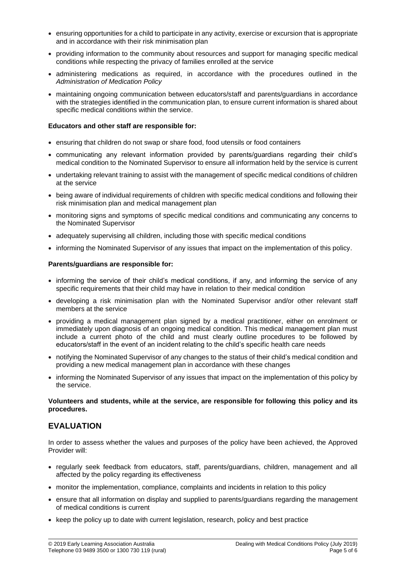- ensuring opportunities for a child to participate in any activity, exercise or excursion that is appropriate and in accordance with their risk minimisation plan
- providing information to the community about resources and support for managing specific medical conditions while respecting the privacy of families enrolled at the service
- administering medications as required, in accordance with the procedures outlined in the *Administration of Medication Policy*
- maintaining ongoing communication between educators/staff and parents/guardians in accordance with the strategies identified in the communication plan, to ensure current information is shared about specific medical conditions within the service.

#### **Educators and other staff are responsible for:**

- ensuring that children do not swap or share food, food utensils or food containers
- communicating any relevant information provided by parents/guardians regarding their child's medical condition to the Nominated Supervisor to ensure all information held by the service is current
- undertaking relevant training to assist with the management of specific medical conditions of children at the service
- being aware of individual requirements of children with specific medical conditions and following their risk minimisation plan and medical management plan
- monitoring signs and symptoms of specific medical conditions and communicating any concerns to the Nominated Supervisor
- adequately supervising all children, including those with specific medical conditions
- informing the Nominated Supervisor of any issues that impact on the implementation of this policy.

#### **Parents/guardians are responsible for:**

- informing the service of their child's medical conditions, if any, and informing the service of any specific requirements that their child may have in relation to their medical condition
- developing a risk minimisation plan with the Nominated Supervisor and/or other relevant staff members at the service
- providing a medical management plan signed by a medical practitioner, either on enrolment or immediately upon diagnosis of an ongoing medical condition. This medical management plan must include a current photo of the child and must clearly outline procedures to be followed by educators/staff in the event of an incident relating to the child's specific health care needs
- notifying the Nominated Supervisor of any changes to the status of their child's medical condition and providing a new medical management plan in accordance with these changes
- informing the Nominated Supervisor of any issues that impact on the implementation of this policy by the service.

#### **Volunteers and students, while at the service, are responsible for following this policy and its procedures.**

### **EVALUATION**

In order to assess whether the values and purposes of the policy have been achieved, the Approved Provider will:

- regularly seek feedback from educators, staff, parents/guardians, children, management and all affected by the policy regarding its effectiveness
- monitor the implementation, compliance, complaints and incidents in relation to this policy
- ensure that all information on display and supplied to parents/guardians regarding the management of medical conditions is current
- keep the policy up to date with current legislation, research, policy and best practice